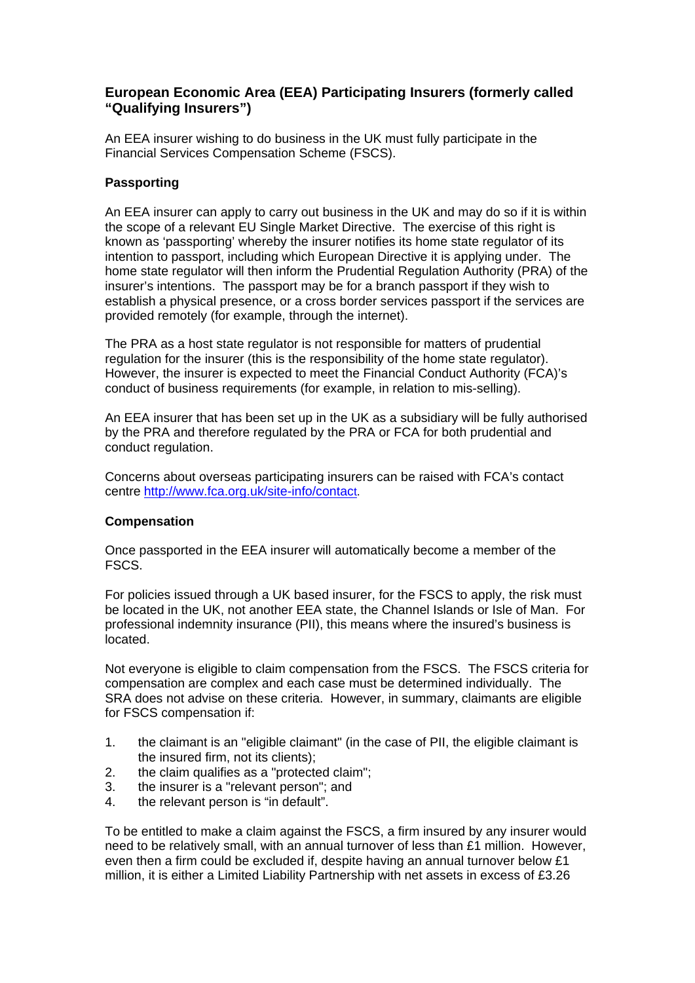## **European Economic Area (EEA) Participating Insurers (formerly called "Qualifying Insurers")**

An EEA insurer wishing to do business in the UK must fully participate in the Financial Services Compensation Scheme (FSCS).

## **Passporting**

An EEA insurer can apply to carry out business in the UK and may do so if it is within the scope of a relevant EU Single Market Directive. The exercise of this right is known as 'passporting' whereby the insurer notifies its home state regulator of its intention to passport, including which European Directive it is applying under. The home state regulator will then inform the Prudential Regulation Authority (PRA) of the insurer's intentions. The passport may be for a branch passport if they wish to establish a physical presence, or a cross border services passport if the services are provided remotely (for example, through the internet).

The PRA as a host state regulator is not responsible for matters of prudential regulation for the insurer (this is the responsibility of the home state regulator). However, the insurer is expected to meet the Financial Conduct Authority (FCA)'s conduct of business requirements (for example, in relation to mis-selling).

An EEA insurer that has been set up in the UK as a subsidiary will be fully authorised by the PRA and therefore regulated by the PRA or FCA for both prudential and conduct regulation.

Concerns about overseas participating insurers can be raised with FCA's contact centre [http://www.fca.org.uk/site-info/contact.](http://www.fca.org.uk/site-info/contact)

## **Compensation**

Once passported in the EEA insurer will automatically become a member of the FSCS.

For policies issued through a UK based insurer, for the FSCS to apply, the risk must be located in the UK, not another EEA state, the Channel Islands or Isle of Man. For professional indemnity insurance (PII), this means where the insured's business is located.

Not everyone is eligible to claim compensation from the FSCS. The FSCS criteria for compensation are complex and each case must be determined individually. The SRA does not advise on these criteria. However, in summary, claimants are eligible for FSCS compensation if:

- 1. the claimant is an "eligible claimant" (in the case of PII, the eligible claimant is the insured firm, not its clients);
- 2. the claim qualifies as a "protected claim";
- 3. the insurer is a "relevant person"; and
- 4. the relevant person is "in default".

To be entitled to make a claim against the FSCS, a firm insured by any insurer would need to be relatively small, with an annual turnover of less than £1 million. However, even then a firm could be excluded if, despite having an annual turnover below £1 million, it is either a Limited Liability Partnership with net assets in excess of £3.26